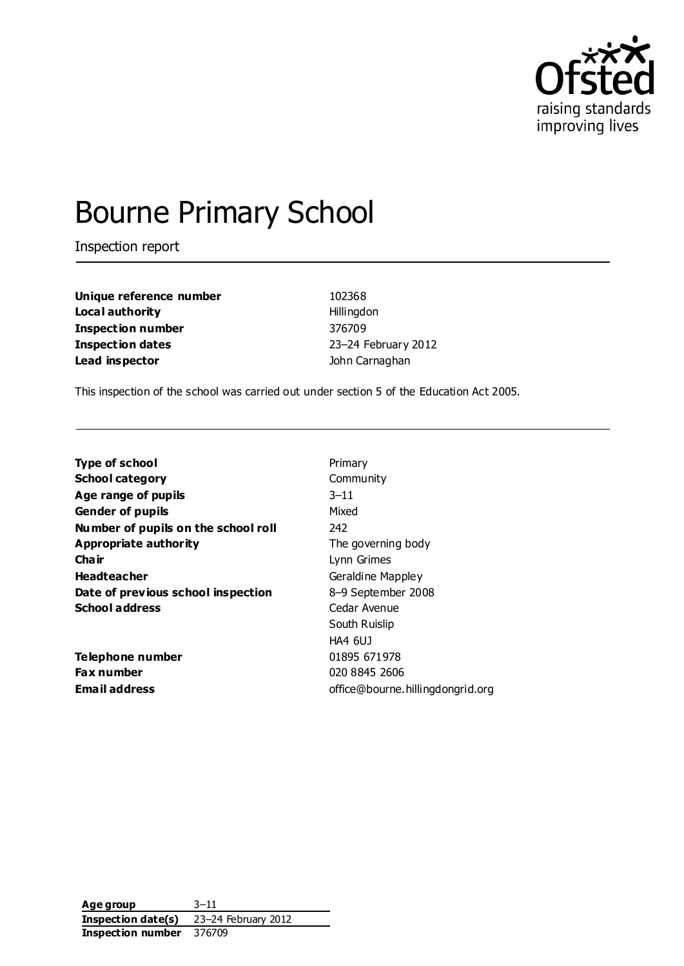

# Bourne Primary School

Inspection report

**Unique reference number** 102368 **Local authority Hillingdon Inspection number** 376709 **Inspection dates** 23–24 February 2012 **Lead inspector** John Carnaghan

This inspection of the school was carried out under section 5 of the Education Act 2005.

| <b>Type of school</b>               | Primary                          |
|-------------------------------------|----------------------------------|
| <b>School category</b>              | Community                        |
| Age range of pupils                 | $3 - 11$                         |
| <b>Gender of pupils</b>             | Mixed                            |
| Number of pupils on the school roll | 242                              |
| <b>Appropriate authority</b>        | The governing body               |
| Cha ir                              | Lynn Grimes                      |
| <b>Headteacher</b>                  | Geraldine Mappley                |
| Date of previous school inspection  | 8-9 September 2008               |
| <b>School address</b>               | Cedar Avenue                     |
|                                     | South Ruislip                    |
|                                     | <b>HA4 6UJ</b>                   |
| Telephone number                    | 01895 671978                     |
| Fax number                          | 020 8845 2606                    |
| <b>Email address</b>                | office@bourne.hillingdongrid.org |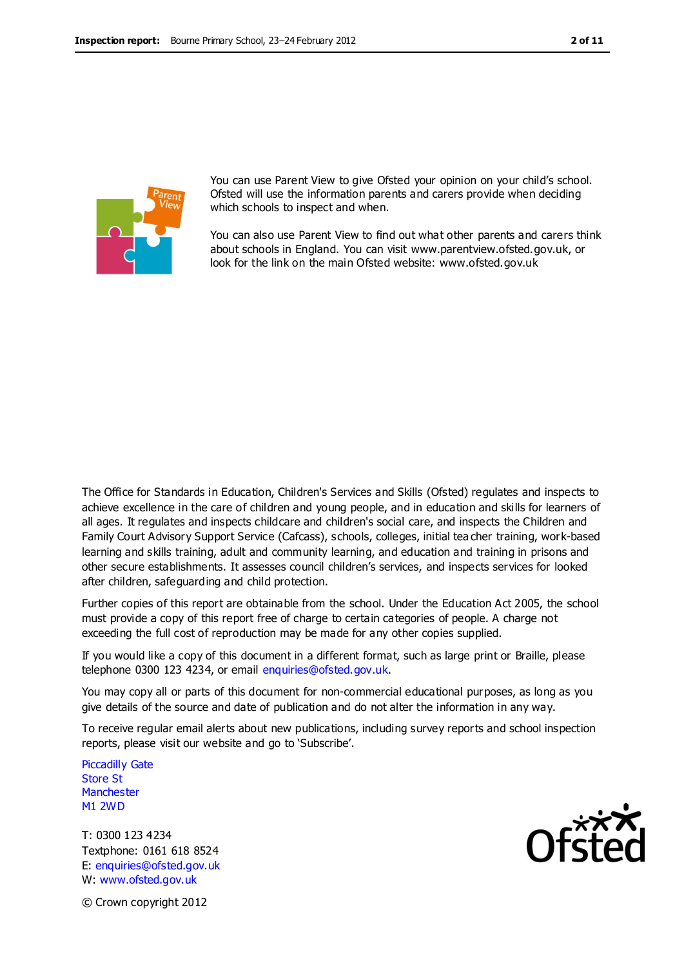

You can use Parent View to give Ofsted your opinion on your child's school. Ofsted will use the information parents and carers provide when deciding which schools to inspect and when.

You can also use Parent View to find out what other parents and carers think about schools in England. You can visit www.parentview.ofsted.gov.uk, or look for the link on the main Ofsted website: www.ofsted.gov.uk

The Office for Standards in Education, Children's Services and Skills (Ofsted) regulates and inspects to achieve excellence in the care of children and young people, and in education and skills for learners of all ages. It regulates and inspects childcare and children's social care, and inspects the Children and Family Court Advisory Support Service (Cafcass), schools, colleges, initial tea cher training, work-based learning and skills training, adult and community learning, and education and training in prisons and other secure establishments. It assesses council children's services, and inspects services for looked after children, safeguarding and child protection.

Further copies of this report are obtainable from the school. Under the Education Act 2005, the school must provide a copy of this report free of charge to certain categories of people. A charge not exceeding the full cost of reproduction may be made for any other copies supplied.

If you would like a copy of this document in a different format, such as large print or Braille, please telephone 0300 123 4234, or email enquiries@ofsted.gov.uk.

You may copy all or parts of this document for non-commercial educational purposes, as long as you give details of the source and date of publication and do not alter the information in any way.

To receive regular email alerts about new publications, including survey reports and school inspection reports, please visit our website and go to 'Subscribe'.

Piccadilly Gate Store St **Manchester** M1 2WD

T: 0300 123 4234 Textphone: 0161 618 8524 E: enquiries@ofsted.gov.uk W: www.ofsted.gov.uk



© Crown copyright 2012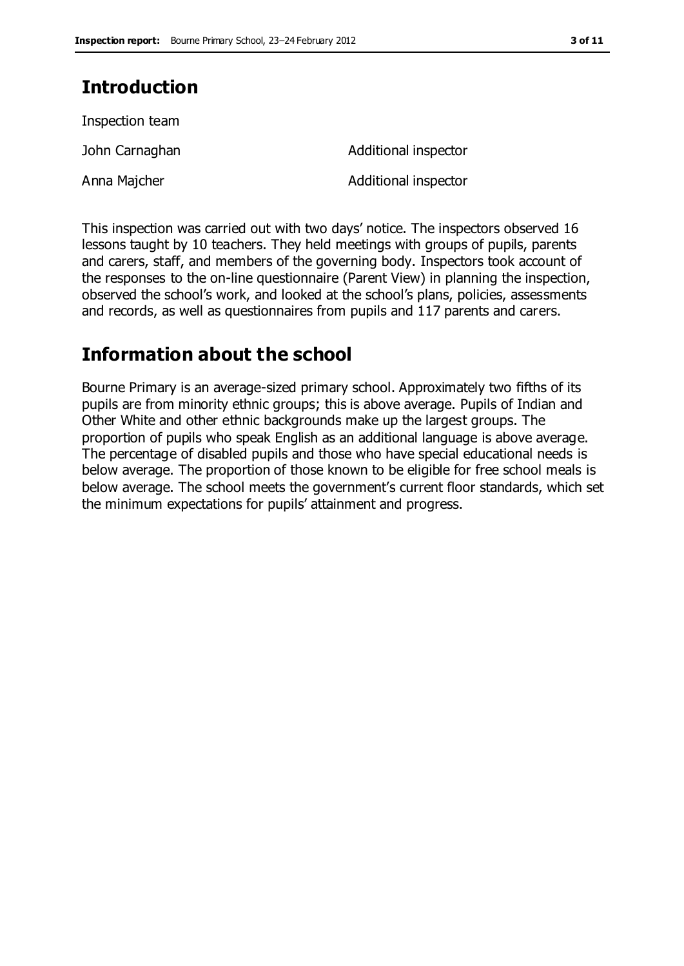### **Introduction**

| Inspection team |                      |
|-----------------|----------------------|
| John Carnaghan  | Additional inspector |
| Anna Majcher    | Additional inspector |

This inspection was carried out with two days' notice. The inspectors observed 16 lessons taught by 10 teachers. They held meetings with groups of pupils, parents and carers, staff, and members of the governing body. Inspectors took account of the responses to the on-line questionnaire (Parent View) in planning the inspection, observed the school's work, and looked at the school's plans, policies, assessments and records, as well as questionnaires from pupils and 117 parents and carers.

### **Information about the school**

Bourne Primary is an average-sized primary school. Approximately two fifths of its pupils are from minority ethnic groups; this is above average. Pupils of Indian and Other White and other ethnic backgrounds make up the largest groups. The proportion of pupils who speak English as an additional language is above average. The percentage of disabled pupils and those who have special educational needs is below average. The proportion of those known to be eligible for free school meals is below average. The school meets the government's current floor standards, which set the minimum expectations for pupils' attainment and progress.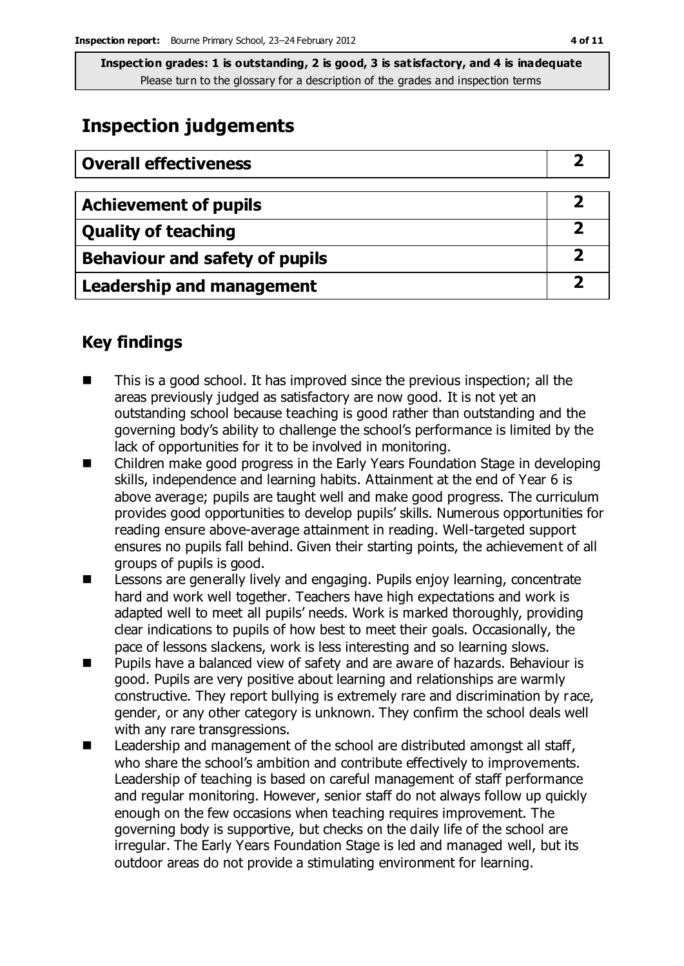**Inspection grades: 1 is outstanding, 2 is good, 3 is satisfactory, and 4 is inadequate** Please turn to the glossary for a description of the grades and inspection terms

### **Inspection judgements**

| <b>Overall effectiveness</b>          |   |
|---------------------------------------|---|
| <b>Achievement of pupils</b>          |   |
| <b>Quality of teaching</b>            |   |
| <b>Behaviour and safety of pupils</b> | 2 |
| <b>Leadership and management</b>      |   |

### **Key findings**

- This is a good school. It has improved since the previous inspection; all the areas previously judged as satisfactory are now good. It is not yet an outstanding school because teaching is good rather than outstanding and the governing body's ability to challenge the school's performance is limited by the lack of opportunities for it to be involved in monitoring.
- Children make good progress in the Early Years Foundation Stage in developing skills, independence and learning habits. Attainment at the end of Year 6 is above average; pupils are taught well and make good progress. The curriculum provides good opportunities to develop pupils' skills. Numerous opportunities for reading ensure above-average attainment in reading. Well-targeted support ensures no pupils fall behind. Given their starting points, the achievement of all groups of pupils is good.
- **EXEC** Lessons are generally lively and engaging. Pupils enjoy learning, concentrate hard and work well together. Teachers have high expectations and work is adapted well to meet all pupils' needs. Work is marked thoroughly, providing clear indications to pupils of how best to meet their goals. Occasionally, the pace of lessons slackens, work is less interesting and so learning slows.
- Pupils have a balanced view of safety and are aware of hazards. Behaviour is good. Pupils are very positive about learning and relationships are warmly constructive. They report bullying is extremely rare and discrimination by race, gender, or any other category is unknown. They confirm the school deals well with any rare transgressions.
- Leadership and management of the school are distributed amongst all staff, who share the school's ambition and contribute effectively to improvements. Leadership of teaching is based on careful management of staff performance and regular monitoring. However, senior staff do not always follow up quickly enough on the few occasions when teaching requires improvement. The governing body is supportive, but checks on the daily life of the school are irregular. The Early Years Foundation Stage is led and managed well, but its outdoor areas do not provide a stimulating environment for learning.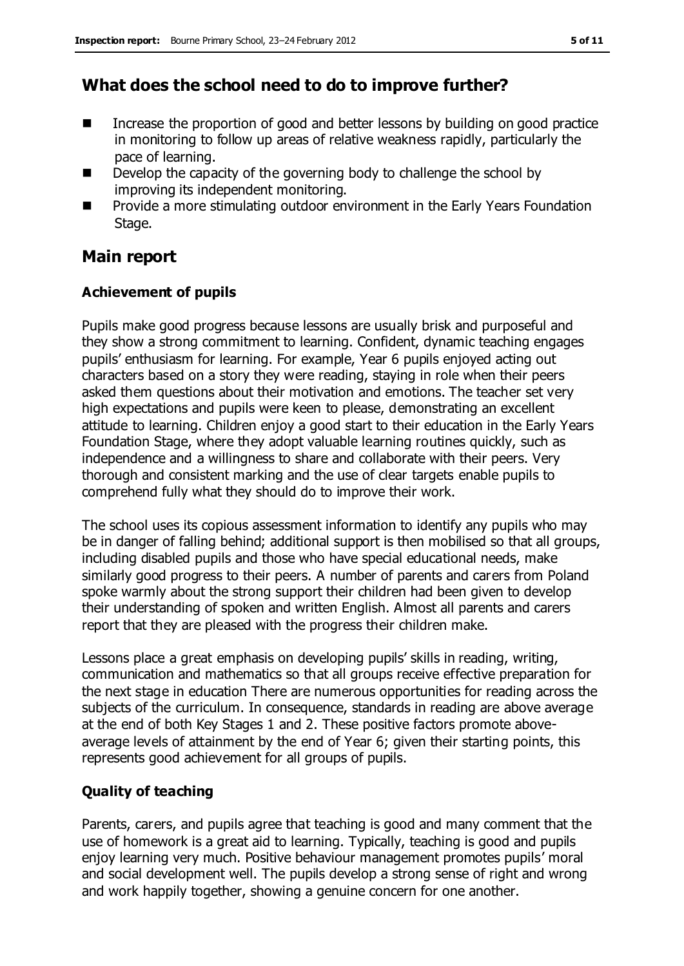### **What does the school need to do to improve further?**

- Increase the proportion of good and better lessons by building on good practice in monitoring to follow up areas of relative weakness rapidly, particularly the pace of learning.
- Develop the capacity of the governing body to challenge the school by improving its independent monitoring.
- **Provide a more stimulating outdoor environment in the Early Years Foundation** Stage.

### **Main report**

### **Achievement of pupils**

Pupils make good progress because lessons are usually brisk and purposeful and they show a strong commitment to learning. Confident, dynamic teaching engages pupils' enthusiasm for learning. For example, Year 6 pupils enjoyed acting out characters based on a story they were reading, staying in role when their peers asked them questions about their motivation and emotions. The teacher set very high expectations and pupils were keen to please, demonstrating an excellent attitude to learning. Children enjoy a good start to their education in the Early Years Foundation Stage, where they adopt valuable learning routines quickly, such as independence and a willingness to share and collaborate with their peers. Very thorough and consistent marking and the use of clear targets enable pupils to comprehend fully what they should do to improve their work.

The school uses its copious assessment information to identify any pupils who may be in danger of falling behind; additional support is then mobilised so that all groups, including disabled pupils and those who have special educational needs, make similarly good progress to their peers. A number of parents and carers from Poland spoke warmly about the strong support their children had been given to develop their understanding of spoken and written English. Almost all parents and carers report that they are pleased with the progress their children make.

Lessons place a great emphasis on developing pupils' skills in reading, writing, communication and mathematics so that all groups receive effective preparation for the next stage in education There are numerous opportunities for reading across the subjects of the curriculum. In consequence, standards in reading are above average at the end of both Key Stages 1 and 2. These positive factors promote aboveaverage levels of attainment by the end of Year 6; given their starting points, this represents good achievement for all groups of pupils.

### **Quality of teaching**

Parents, carers, and pupils agree that teaching is good and many comment that the use of homework is a great aid to learning. Typically, teaching is good and pupils enjoy learning very much. Positive behaviour management promotes pupils' moral and social development well. The pupils develop a strong sense of right and wrong and work happily together, showing a genuine concern for one another.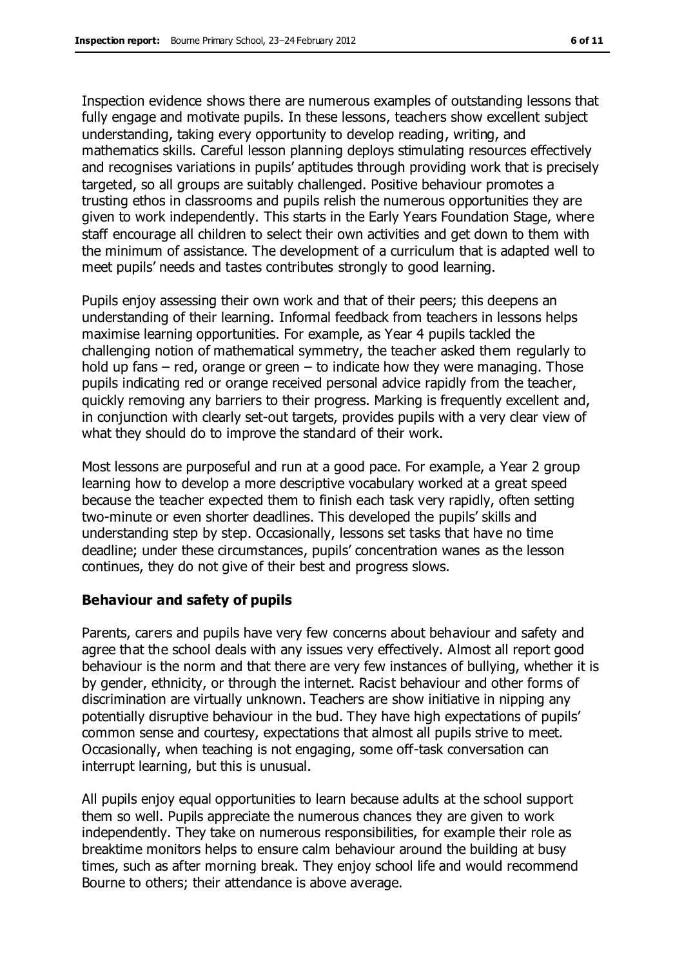Inspection evidence shows there are numerous examples of outstanding lessons that fully engage and motivate pupils. In these lessons, teachers show excellent subject understanding, taking every opportunity to develop reading, writing, and mathematics skills. Careful lesson planning deploys stimulating resources effectively and recognises variations in pupils' aptitudes through providing work that is precisely targeted, so all groups are suitably challenged. Positive behaviour promotes a trusting ethos in classrooms and pupils relish the numerous opportunities they are given to work independently. This starts in the Early Years Foundation Stage, where staff encourage all children to select their own activities and get down to them with the minimum of assistance. The development of a curriculum that is adapted well to meet pupils' needs and tastes contributes strongly to good learning.

Pupils enjoy assessing their own work and that of their peers; this deepens an understanding of their learning. Informal feedback from teachers in lessons helps maximise learning opportunities. For example, as Year 4 pupils tackled the challenging notion of mathematical symmetry, the teacher asked them regularly to hold up fans  $-$  red, orange or green  $-$  to indicate how they were managing. Those pupils indicating red or orange received personal advice rapidly from the teacher, quickly removing any barriers to their progress. Marking is frequently excellent and, in conjunction with clearly set-out targets, provides pupils with a very clear view of what they should do to improve the standard of their work.

Most lessons are purposeful and run at a good pace. For example, a Year 2 group learning how to develop a more descriptive vocabulary worked at a great speed because the teacher expected them to finish each task very rapidly, often setting two-minute or even shorter deadlines. This developed the pupils' skills and understanding step by step. Occasionally, lessons set tasks that have no time deadline; under these circumstances, pupils' concentration wanes as the lesson continues, they do not give of their best and progress slows.

#### **Behaviour and safety of pupils**

Parents, carers and pupils have very few concerns about behaviour and safety and agree that the school deals with any issues very effectively. Almost all report good behaviour is the norm and that there are very few instances of bullying, whether it is by gender, ethnicity, or through the internet. Racist behaviour and other forms of discrimination are virtually unknown. Teachers are show initiative in nipping any potentially disruptive behaviour in the bud. They have high expectations of pupils' common sense and courtesy, expectations that almost all pupils strive to meet. Occasionally, when teaching is not engaging, some off-task conversation can interrupt learning, but this is unusual.

All pupils enjoy equal opportunities to learn because adults at the school support them so well. Pupils appreciate the numerous chances they are given to work independently. They take on numerous responsibilities, for example their role as breaktime monitors helps to ensure calm behaviour around the building at busy times, such as after morning break. They enjoy school life and would recommend Bourne to others; their attendance is above average.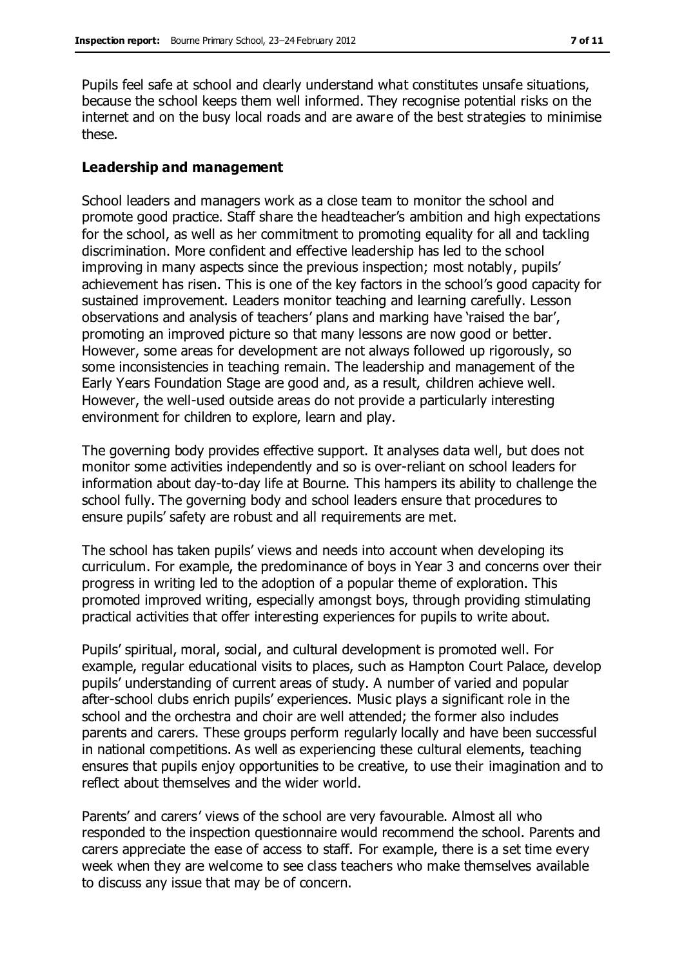Pupils feel safe at school and clearly understand what constitutes unsafe situations, because the school keeps them well informed. They recognise potential risks on the internet and on the busy local roads and are aware of the best strategies to minimise these.

#### **Leadership and management**

School leaders and managers work as a close team to monitor the school and promote good practice. Staff share the headteacher's ambition and high expectations for the school, as well as her commitment to promoting equality for all and tackling discrimination. More confident and effective leadership has led to the school improving in many aspects since the previous inspection; most notably, pupils' achievement has risen. This is one of the key factors in the school's good capacity for sustained improvement. Leaders monitor teaching and learning carefully. Lesson observations and analysis of teachers' plans and marking have 'raised the bar', promoting an improved picture so that many lessons are now good or better. However, some areas for development are not always followed up rigorously, so some inconsistencies in teaching remain. The leadership and management of the Early Years Foundation Stage are good and, as a result, children achieve well. However, the well-used outside areas do not provide a particularly interesting environment for children to explore, learn and play.

The governing body provides effective support. It analyses data well, but does not monitor some activities independently and so is over-reliant on school leaders for information about day-to-day life at Bourne. This hampers its ability to challenge the school fully. The governing body and school leaders ensure that procedures to ensure pupils' safety are robust and all requirements are met.

The school has taken pupils' views and needs into account when developing its curriculum. For example, the predominance of boys in Year 3 and concerns over their progress in writing led to the adoption of a popular theme of exploration. This promoted improved writing, especially amongst boys, through providing stimulating practical activities that offer interesting experiences for pupils to write about.

Pupils' spiritual, moral, social, and cultural development is promoted well. For example, regular educational visits to places, such as Hampton Court Palace, develop pupils' understanding of current areas of study. A number of varied and popular after-school clubs enrich pupils' experiences. Music plays a significant role in the school and the orchestra and choir are well attended; the former also includes parents and carers. These groups perform regularly locally and have been successful in national competitions. As well as experiencing these cultural elements, teaching ensures that pupils enjoy opportunities to be creative, to use their imagination and to reflect about themselves and the wider world.

Parents' and carers' views of the school are very favourable. Almost all who responded to the inspection questionnaire would recommend the school. Parents and carers appreciate the ease of access to staff. For example, there is a set time every week when they are welcome to see class teachers who make themselves available to discuss any issue that may be of concern.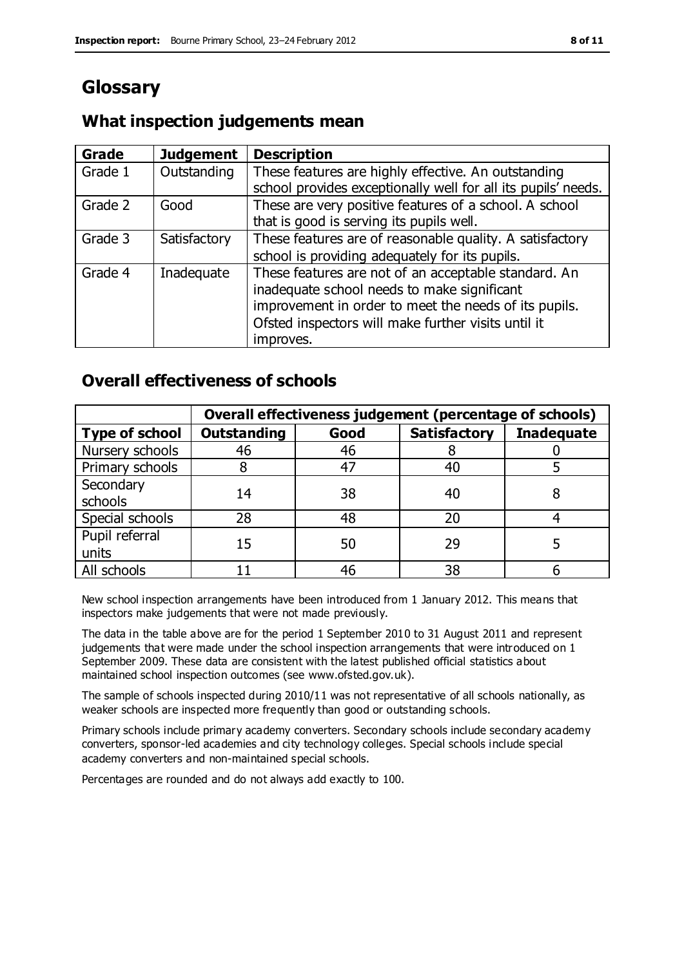### **Glossary**

### **What inspection judgements mean**

| Grade   | <b>Judgement</b> | <b>Description</b>                                            |
|---------|------------------|---------------------------------------------------------------|
| Grade 1 | Outstanding      | These features are highly effective. An outstanding           |
|         |                  | school provides exceptionally well for all its pupils' needs. |
| Grade 2 | Good             | These are very positive features of a school. A school        |
|         |                  | that is good is serving its pupils well.                      |
| Grade 3 | Satisfactory     | These features are of reasonable quality. A satisfactory      |
|         |                  | school is providing adequately for its pupils.                |
| Grade 4 | Inadequate       | These features are not of an acceptable standard. An          |
|         |                  | inadequate school needs to make significant                   |
|         |                  | improvement in order to meet the needs of its pupils.         |
|         |                  | Ofsted inspectors will make further visits until it           |
|         |                  | improves.                                                     |

### **Overall effectiveness of schools**

|                         | Overall effectiveness judgement (percentage of schools) |      |                     |                   |
|-------------------------|---------------------------------------------------------|------|---------------------|-------------------|
| <b>Type of school</b>   | <b>Outstanding</b>                                      | Good | <b>Satisfactory</b> | <b>Inadequate</b> |
| Nursery schools         | 46                                                      | 46   |                     |                   |
| Primary schools         |                                                         | 47   | 40                  |                   |
| Secondary<br>schools    | 14                                                      | 38   | 40                  |                   |
| Special schools         | 28                                                      | 48   | 20                  |                   |
| Pupil referral<br>units | 15                                                      | 50   | 29                  |                   |
| All schools             |                                                         | 46   | 38                  |                   |

New school inspection arrangements have been introduced from 1 January 2012. This means that inspectors make judgements that were not made previously.

The data in the table above are for the period 1 September 2010 to 31 August 2011 and represent judgements that were made under the school inspection arrangements that were introduced on 1 September 2009. These data are consistent with the latest published official statistics about maintained school inspection outcomes (see www.ofsted.gov.uk).

The sample of schools inspected during 2010/11 was not representative of all schools nationally, as weaker schools are inspected more frequently than good or outstanding schools.

Primary schools include primary academy converters. Secondary schools include secondary academy converters, sponsor-led academies and city technology colleges. Special schools include special academy converters and non-maintained special schools.

Percentages are rounded and do not always add exactly to 100.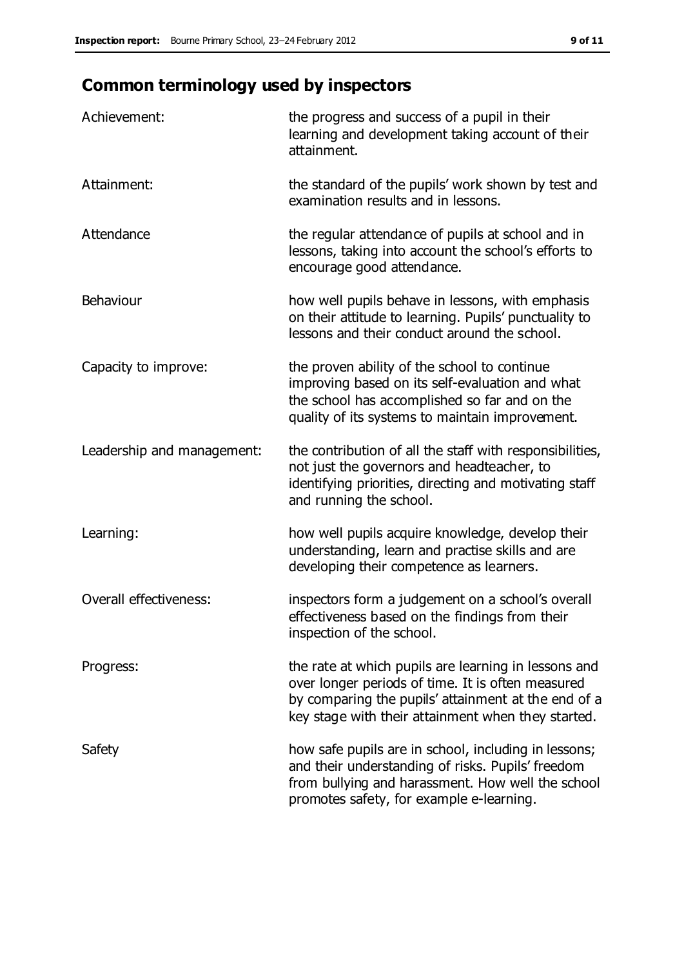## **Common terminology used by inspectors**

| Achievement:                  | the progress and success of a pupil in their<br>learning and development taking account of their<br>attainment.                                                                                                        |
|-------------------------------|------------------------------------------------------------------------------------------------------------------------------------------------------------------------------------------------------------------------|
| Attainment:                   | the standard of the pupils' work shown by test and<br>examination results and in lessons.                                                                                                                              |
| Attendance                    | the regular attendance of pupils at school and in<br>lessons, taking into account the school's efforts to<br>encourage good attendance.                                                                                |
| Behaviour                     | how well pupils behave in lessons, with emphasis<br>on their attitude to learning. Pupils' punctuality to<br>lessons and their conduct around the school.                                                              |
| Capacity to improve:          | the proven ability of the school to continue<br>improving based on its self-evaluation and what<br>the school has accomplished so far and on the<br>quality of its systems to maintain improvement.                    |
| Leadership and management:    | the contribution of all the staff with responsibilities,<br>not just the governors and headteacher, to<br>identifying priorities, directing and motivating staff<br>and running the school.                            |
| Learning:                     | how well pupils acquire knowledge, develop their<br>understanding, learn and practise skills and are<br>developing their competence as learners.                                                                       |
| <b>Overall effectiveness:</b> | inspectors form a judgement on a school's overall<br>effectiveness based on the findings from their<br>inspection of the school.                                                                                       |
| Progress:                     | the rate at which pupils are learning in lessons and<br>over longer periods of time. It is often measured<br>by comparing the pupils' attainment at the end of a<br>key stage with their attainment when they started. |
| Safety                        | how safe pupils are in school, including in lessons;<br>and their understanding of risks. Pupils' freedom<br>from bullying and harassment. How well the school<br>promotes safety, for example e-learning.             |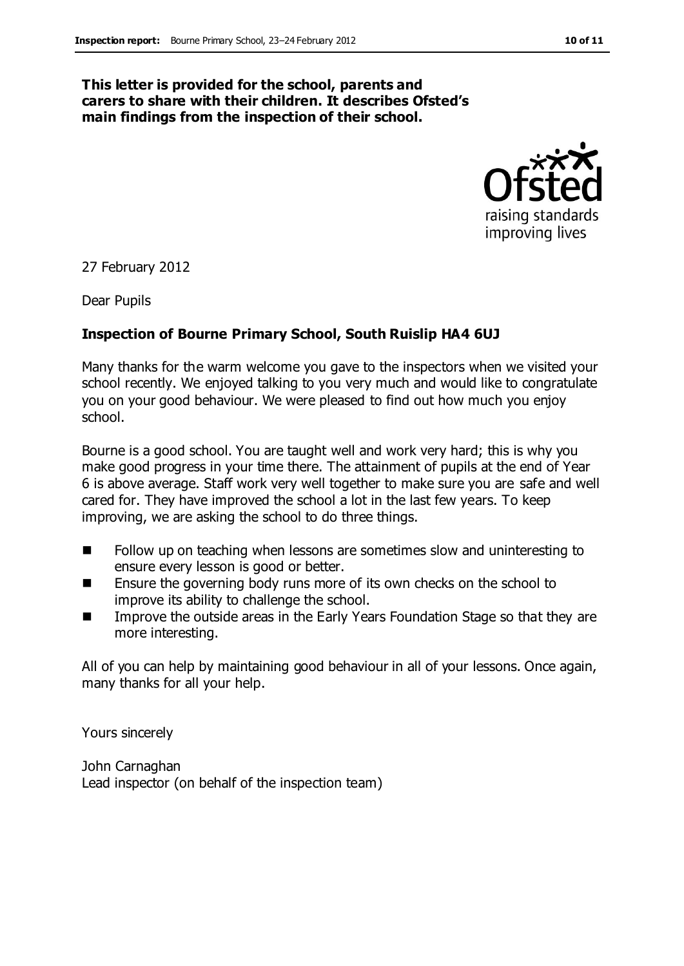#### **This letter is provided for the school, parents and carers to share with their children. It describes Ofsted's main findings from the inspection of their school.**



27 February 2012

Dear Pupils

#### **Inspection of Bourne Primary School, South Ruislip HA4 6UJ**

Many thanks for the warm welcome you gave to the inspectors when we visited your school recently. We enjoyed talking to you very much and would like to congratulate you on your good behaviour. We were pleased to find out how much you enjoy school.

Bourne is a good school. You are taught well and work very hard; this is why you make good progress in your time there. The attainment of pupils at the end of Year 6 is above average. Staff work very well together to make sure you are safe and well cared for. They have improved the school a lot in the last few years. To keep improving, we are asking the school to do three things.

- Follow up on teaching when lessons are sometimes slow and uninteresting to ensure every lesson is good or better.
- Ensure the governing body runs more of its own checks on the school to improve its ability to challenge the school.
- **IMPROVE THE OUTT ATTLE ATTLE IS NOTE** Improve the outside areas in the Early Years Foundation Stage so that they are more interesting.

All of you can help by maintaining good behaviour in all of your lessons. Once again, many thanks for all your help.

Yours sincerely

John Carnaghan Lead inspector (on behalf of the inspection team)